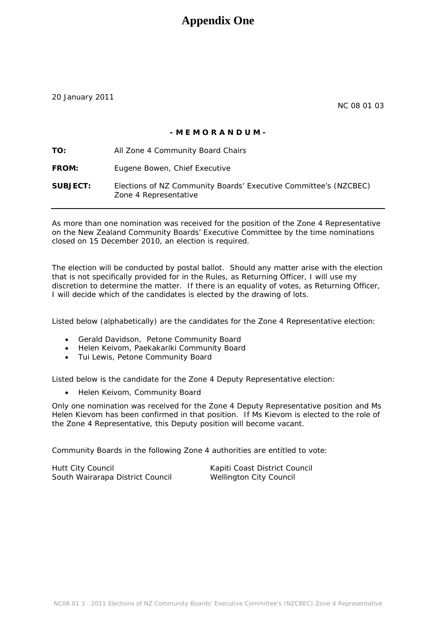## **Appendix One**

20 January 2011

NC 08 01 03

### **- M E M O R A N D U M -**

**TO:** All Zone 4 Community Board Chairs FROM: Eugene Bowen, Chief Executive **SUBJECT:** Elections of NZ Community Boards' Executive Committee's (NZCBEC) Zone 4 Representative

As more than one nomination was received for the position of the Zone 4 Representative on the New Zealand Community Boards' Executive Committee by the time nominations closed on 15 December 2010, an election is required.

The election will be conducted by postal ballot. Should any matter arise with the election that is not specifically provided for in the Rules, as Returning Officer, I will use my discretion to determine the matter. If there is an equality of votes, as Returning Officer, I will decide which of the candidates is elected by the drawing of lots.

Listed below (alphabetically) are the candidates for the Zone 4 Representative election:

- Gerald Davidson, Petone Community Board
- Helen Keivom, Paekakariki Community Board
- Tui Lewis, Petone Community Board

Listed below is the candidate for the Zone 4 Deputy Representative election:

• Helen Keivom, Community Board

Only one nomination was received for the Zone 4 Deputy Representative position and Ms Helen Kievom has been confirmed in that position. If Ms Kievom is elected to the role of the Zone 4 Representative, this Deputy position will become vacant.

Community Boards in the following Zone 4 authorities are entitled to vote:

Hutt City Council **Kapiti Coast District Council** Kapiti Coast District Council South Wairarapa District Council Wellington City Council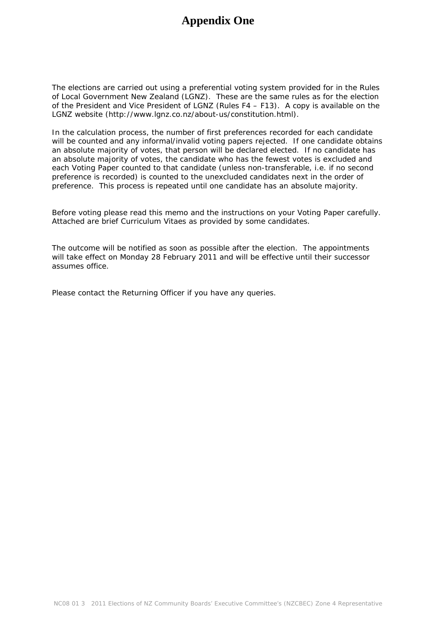# **Appendix One**

The elections are carried out using a preferential voting system provided for in the Rules of Local Government New Zealand (LGNZ). These are the same rules as for the election of the President and Vice President of LGNZ (Rules F4 – F13). A copy is available on the LGNZ website (http://www.lgnz.co.nz/about-us/constitution.html).

In the calculation process, the number of first preferences recorded for each candidate will be counted and any informal/invalid voting papers rejected. If one candidate obtains an absolute majority of votes, that person will be declared elected. If no candidate has an absolute majority of votes, the candidate who has the fewest votes is excluded and each Voting Paper counted to that candidate (unless non-transferable, i.e. if no second preference is recorded) is counted to the unexcluded candidates next in the order of preference. This process is repeated until one candidate has an absolute majority.

Before voting please read this memo and the instructions on your Voting Paper carefully. A*ttached* are brief Curriculum Vitaes as provided by some candidates.

The outcome will be notified as soon as possible after the election. The appointments will take effect on Monday 28 February 2011 and will be effective until their successor assumes office.

Please contact the Returning Officer if you have any queries.